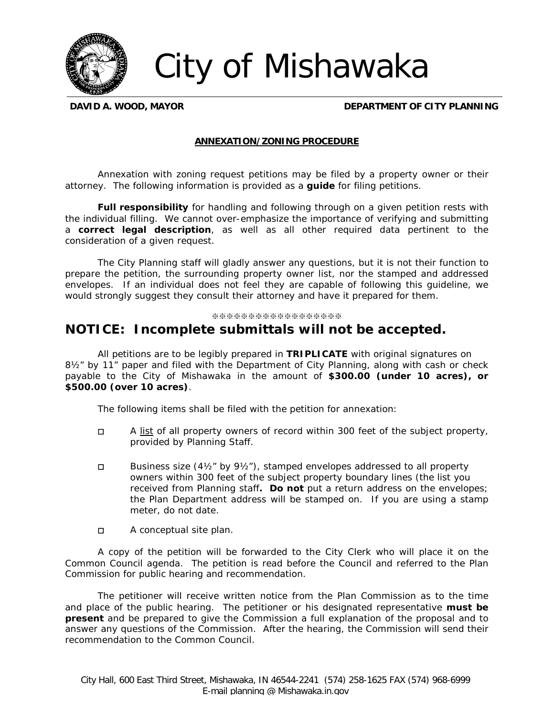

City of Mishawaka

**DAVID A. WOOD, MAYOR DEPARTMENT OF CITY PLANNING**

## **ANNEXATION/ZONING PROCEDURE**

Annexation with zoning request petitions may be filed by a property owner or their attorney. The following information is provided as a *guide* for filing petitions.

*Full responsibility* for handling and following through on a given petition rests with the individual filling. We cannot over-emphasize the importance of verifying and submitting a *correct legal description*, as well as all other required data pertinent to the consideration of a given request.

The City Planning staff will gladly answer any questions, but it is not their function to prepare the petition, the surrounding property owner list, nor the stamped and addressed envelopes. If an individual does not feel they are capable of following this guideline, we would strongly suggest they consult their attorney and have it prepared for them.

## ※※※※※※※※※※※※※※※※※※

## *NOTICE: Incomplete submittals will not be accepted.*

All petitions are to be legibly prepared in **TRIPLICATE** with original signatures on 8½" by 11" paper and filed with the Department of City Planning, along with cash or check payable to the *City of Mishawaka* in the amount of **\$300.00 (under 10 acres), or \$500.00 (over 10 acres)**.

The following items shall be filed with the petition for annexation:

- $\Box$  A list of all property owners of record within 300 feet of the subject property, provided by Planning Staff.
- Business size (4½" by 9½"), stamped envelopes addressed to all property owners within 300 feet of the subject property boundary lines (*the list you received from Planning staff.* **Do not** put a return address on the envelopes; the Plan Department address will be stamped on. If you are using a stamp meter, do not date.
- □ A conceptual site plan.

A copy of the petition will be forwarded to the City Clerk who will place it on the Common Council agenda. The petition is read before the Council and referred to the Plan Commission for public hearing and recommendation.

The petitioner will receive written notice from the Plan Commission as to the time and place of the public hearing. The petitioner or his designated representative *must be present* and be prepared to give the Commission a full explanation of the proposal and to answer any questions of the Commission. After the hearing, the Commission will send their recommendation to the Common Council.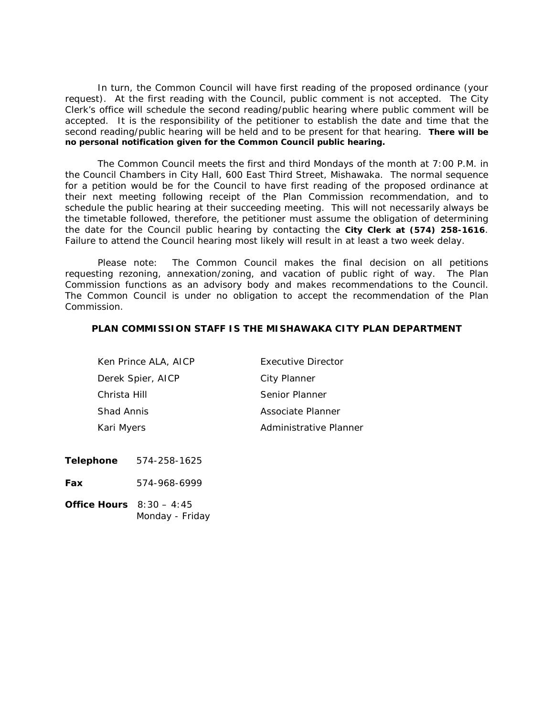In turn, the Common Council will have first reading of the proposed ordinance (your request). At the first reading with the Council, public comment is not accepted. The City Clerk's office will schedule the second reading/public hearing where public comment will be accepted. It is the responsibility of the petitioner to establish the date and time that the second reading/public hearing will be held and to be present for that hearing. **There will be no personal notification given for the Common Council public hearing.** 

The Common Council meets the first and third Mondays of the month at 7:00 P.M. in the Council Chambers in City Hall, 600 East Third Street, Mishawaka. The normal sequence for a petition would be for the Council to have first reading of the proposed ordinance at their next meeting following receipt of the Plan Commission recommendation, and to schedule the public hearing at their succeeding meeting. *This will not necessarily always be the timetable followed*, therefore, the petitioner must assume the obligation of determining the date for the Council public hearing by contacting the **City Clerk at (574) 258-1616**. Failure to attend the Council hearing most likely will result in at least a two week delay.

Please note: The Common Council makes the final decision on all petitions requesting rezoning, annexation/zoning, and vacation of public right of way. The Plan Commission functions as an advisory body and makes recommendations to the Council. The Common Council is under no obligation to accept the recommendation of the Plan Commission.

## **PLAN COMMISSION STAFF IS THE MISHAWAKA CITY PLAN DEPARTMENT**

| Ken Prince ALA, AICP | Executive Director     |
|----------------------|------------------------|
| Derek Spier, AICP    | City Planner           |
| Christa Hill         | Senior Planner         |
| Shad Annis           | Associate Planner      |
| Kari Myers           | Administrative Planner |

**Telephone** 574-258-1625

**Fax** 574-968-6999

**Office Hours** 8:30 – 4:45 Monday - Friday